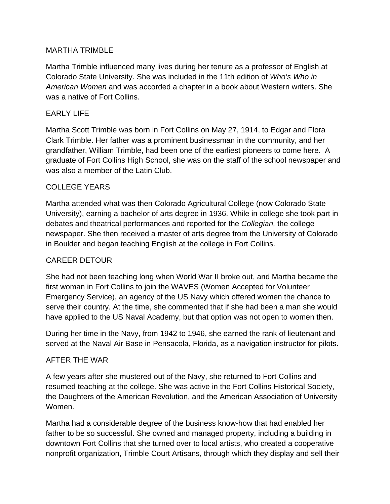# MARTHA TRIMBLE

Martha Trimble influenced many lives during her tenure as a professor of English at Colorado State University. She was included in the 11th edition of *Who's Who in American Women* and was accorded a chapter in a book about Western writers. She was a native of Fort Collins.

## EARLY LIFE

Martha Scott Trimble was born in Fort Collins on May 27, 1914, to Edgar and Flora Clark Trimble. Her father was a prominent businessman in the community, and her grandfather, William Trimble, had been one of the earliest pioneers to come here. A graduate of Fort Collins High School, she was on the staff of the school newspaper and was also a member of the Latin Club.

#### COLLEGE YEARS

Martha attended what was then Colorado Agricultural College (now Colorado State University), earning a bachelor of arts degree in 1936. While in college she took part in debates and theatrical performances and reported for the *Collegian,* the college newspaper. She then received a master of arts degree from the University of Colorado in Boulder and began teaching English at the college in Fort Collins.

# CAREER DETOUR

She had not been teaching long when World War II broke out, and Martha became the first woman in Fort Collins to join the WAVES (Women Accepted for Volunteer Emergency Service), an agency of the US Navy which offered women the chance to serve their country. At the time, she commented that if she had been a man she would have applied to the US Naval Academy, but that option was not open to women then.

During her time in the Navy, from 1942 to 1946, she earned the rank of lieutenant and served at the Naval Air Base in Pensacola, Florida, as a navigation instructor for pilots.

#### AFTER THE WAR

A few years after she mustered out of the Navy, she returned to Fort Collins and resumed teaching at the college. She was active in the Fort Collins Historical Society, the Daughters of the American Revolution, and the American Association of University Women.

Martha had a considerable degree of the business know-how that had enabled her father to be so successful. She owned and managed property, including a building in downtown Fort Collins that she turned over to local artists, who created a cooperative nonprofit organization, Trimble Court Artisans, through which they display and sell their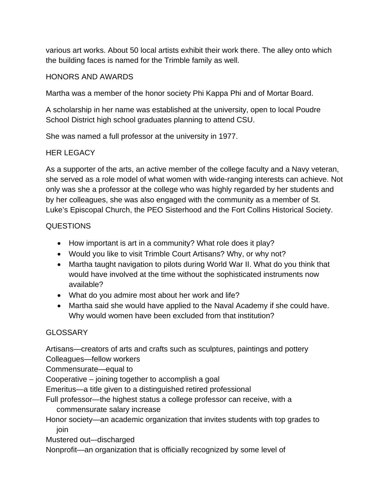various art works. About 50 local artists exhibit their work there. The alley onto which the building faces is named for the Trimble family as well.

## HONORS AND AWARDS

Martha was a member of the honor society Phi Kappa Phi and of Mortar Board.

A scholarship in her name was established at the university, open to local Poudre School District high school graduates planning to attend CSU.

She was named a full professor at the university in 1977.

# HER LEGACY

As a supporter of the arts, an active member of the college faculty and a Navy veteran, she served as a role model of what women with wide-ranging interests can achieve. Not only was she a professor at the college who was highly regarded by her students and by her colleagues, she was also engaged with the community as a member of St. Luke's Episcopal Church, the PEO Sisterhood and the Fort Collins Historical Society.

# **QUESTIONS**

- How important is art in a community? What role does it play?
- Would you like to visit Trimble Court Artisans? Why, or why not?
- Martha taught navigation to pilots during World War II. What do you think that would have involved at the time without the sophisticated instruments now available?
- What do you admire most about her work and life?
- Martha said she would have applied to the Naval Academy if she could have. Why would women have been excluded from that institution?

# **GLOSSARY**

Artisans—creators of arts and crafts such as sculptures, paintings and pottery

Colleagues—fellow workers

Commensurate—equal to

Cooperative – joining together to accomplish a goal

Emeritus—a title given to a distinguished retired professional

Full professor—the highest status a college professor can receive, with a commensurate salary increase

Honor society—an academic organization that invites students with top grades to join

Mustered out–-discharged

Nonprofit—an organization that is officially recognized by some level of